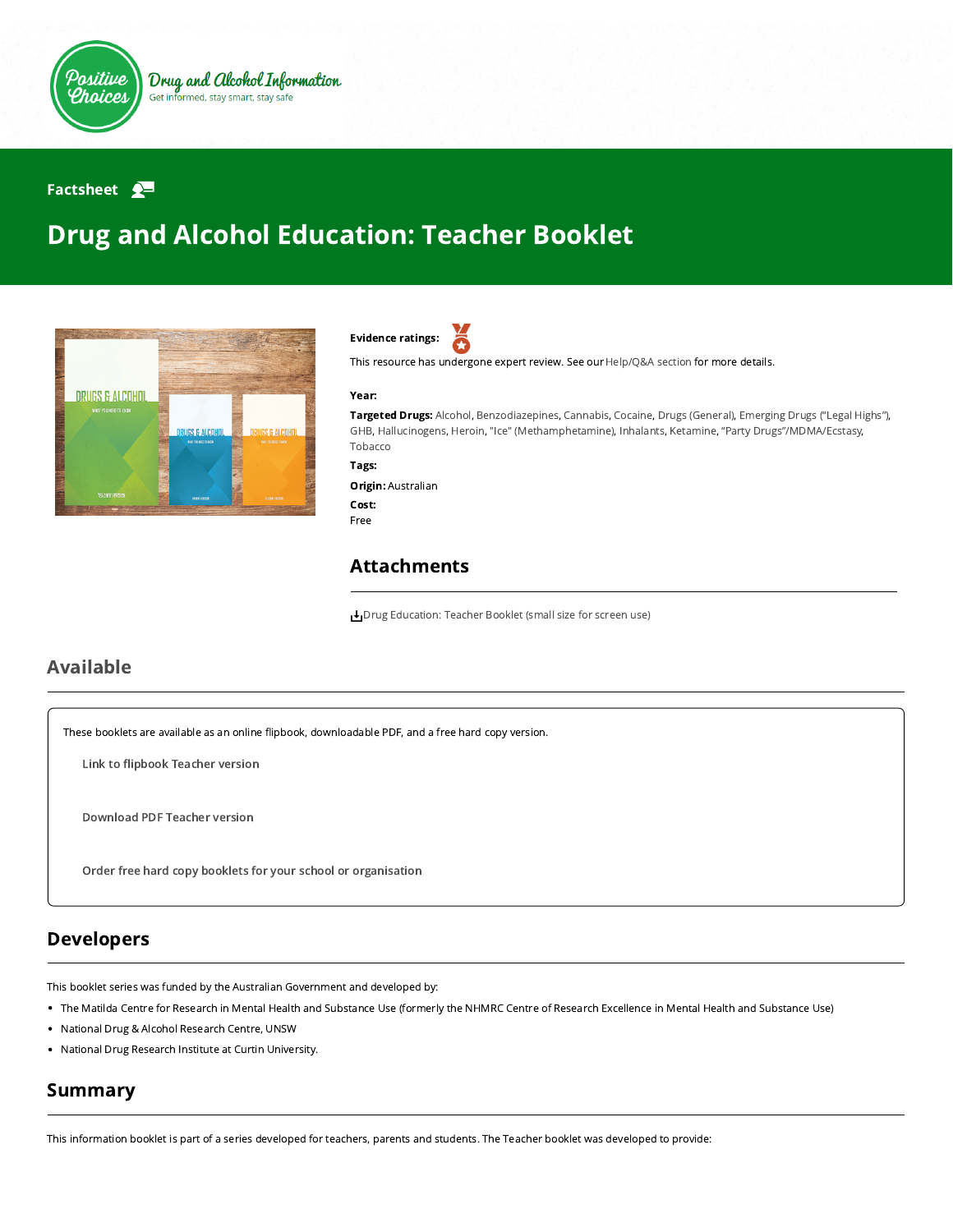

#### Factsheet  $\mathbf{P}$

# Drug and Alcohol Education: Teacher Booklet





This resource has undergone expert review. See our [Help/Q&A section](https://positivechoices.org.au/help/questions-and-answers/) for more details.

#### Year:

Targeted Drugs: Alcohol, Benzodiazepines, Cannabis, Cocaine, Drugs (General), Emerging Drugs ("Legal Highs"), GHB, Hallucinogens, Heroin, "Ice" (Methamphetamine), Inhalants, Ketamine, "Party Drugs"/MDMA/Ecstasy, Tobacco

Tags:

#### Origin: Australian Cost: Free

### Attachments

[Drug Education: Teacher Booklet \(small size for screen use\)](https://positivechoices.org.au/documents/e7CVbdXkFI/drug-education-teacher-booklet-small-size-for-screen-use/)

### Available

These booklets are available as an online flipbook, downloadable PDF, and a free hard copy version.

Link to fl[ipbook](https://positivechoices.org.au/pdf/drug-education-booklets/Drug%20Education%20Teacher%20Booklet/index.html) Teacher version

[Download](https://positivechoices.org.au/documents/e7CVbdXkFI/drug-education-teacher-booklet-small-size-for-screen-use/) PDF Teacher version

Order free hard copy booklets for your school or [organisation](https://positivechoices.org.au/order/booklet)

## Developers

This booklet series was funded by the Australian Government and developed by:

- The Matilda Centre for Research in Mental Health and Substance Use (formerly the NHMRC Centre of Research Excellence in Mental Health and Substance Use)
- National Drug & Alcohol Research Centre, UNSW
- National Drug Research Institute at Curtin University.

# Summary

This information booklet is part of a series developed for teachers, parents and students. The Teacher booklet was developed to provide: